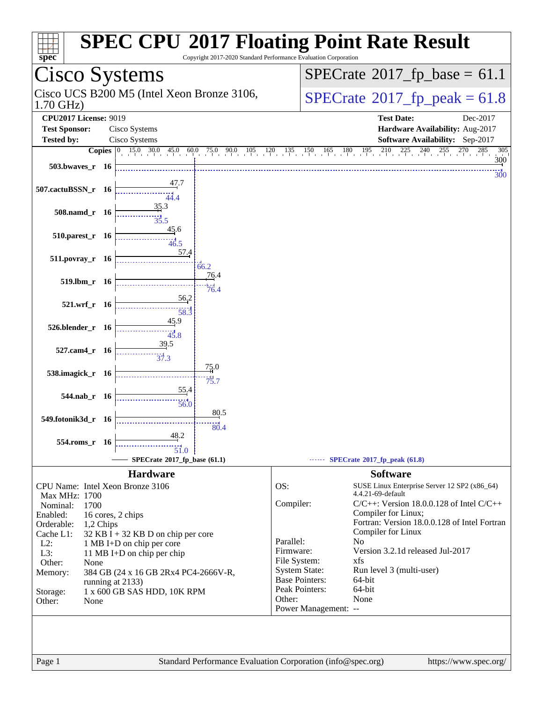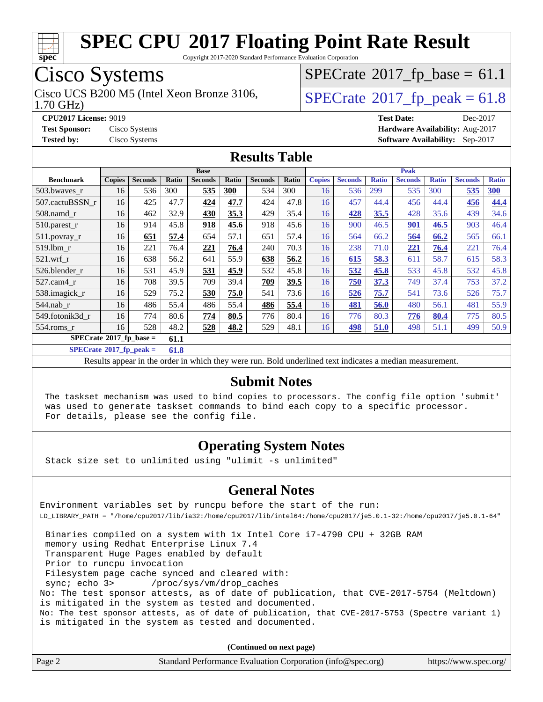

Copyright 2017-2020 Standard Performance Evaluation Corporation

## Cisco Systems

1.70 GHz) Cisco UCS B200 M5 (Intel Xeon Bronze 3106,  $\vert$  [SPECrate](http://www.spec.org/auto/cpu2017/Docs/result-fields.html#SPECrate2017fppeak)<sup>®</sup>[2017\\_fp\\_peak = 6](http://www.spec.org/auto/cpu2017/Docs/result-fields.html#SPECrate2017fppeak)1.8

 $SPECTate$ <sup>®</sup>[2017\\_fp\\_base =](http://www.spec.org/auto/cpu2017/Docs/result-fields.html#SPECrate2017fpbase) 61.1

**[CPU2017 License:](http://www.spec.org/auto/cpu2017/Docs/result-fields.html#CPU2017License)** 9019 **[Test Date:](http://www.spec.org/auto/cpu2017/Docs/result-fields.html#TestDate)** Dec-2017 **[Test Sponsor:](http://www.spec.org/auto/cpu2017/Docs/result-fields.html#TestSponsor)** Cisco Systems **[Hardware Availability:](http://www.spec.org/auto/cpu2017/Docs/result-fields.html#HardwareAvailability)** Aug-2017 **[Tested by:](http://www.spec.org/auto/cpu2017/Docs/result-fields.html#Testedby)** Cisco Systems **[Software Availability:](http://www.spec.org/auto/cpu2017/Docs/result-fields.html#SoftwareAvailability)** Sep-2017

#### **[Results Table](http://www.spec.org/auto/cpu2017/Docs/result-fields.html#ResultsTable)**

|                           | <b>Base</b>   |                |       |                |       |                | <b>Peak</b> |               |                |              |                |              |                |              |
|---------------------------|---------------|----------------|-------|----------------|-------|----------------|-------------|---------------|----------------|--------------|----------------|--------------|----------------|--------------|
| <b>Benchmark</b>          | <b>Copies</b> | <b>Seconds</b> | Ratio | <b>Seconds</b> | Ratio | <b>Seconds</b> | Ratio       | <b>Copies</b> | <b>Seconds</b> | <b>Ratio</b> | <b>Seconds</b> | <b>Ratio</b> | <b>Seconds</b> | <b>Ratio</b> |
| 503.bwayes r              | 16            | 536            | 300   | 535            | 300   | 534            | 300         | 16            | 536            | 299          | 535            | 300          | 535            | <b>300</b>   |
| 507.cactuBSSN r           | 16            | 425            | 47.7  | 424            | 47.7  | 424            | 47.8        | 16            | 457            | 44.4         | 456            | 44.4         | 456            | 44.4         |
| $508$ .namd_r             | 16            | 462            | 32.9  | 430            | 35.3  | 429            | 35.4        | 16            | 428            | 35.5         | 428            | 35.6         | 439            | 34.6         |
| $510$ .parest r           | 16            | 914            | 45.8  | 918            | 45.6  | 918            | 45.6        | 16            | 900            | 46.5         | <b>901</b>     | 46.5         | 903            | 46.4         |
| 511.povray_r              | 16            | 651            | 57.4  | 654            | 57.1  | 651            | 57.4        | 16            | 564            | 66.2         | 564            | 66.2         | 565            | 66.1         |
| 519.1bm r                 | 16            | 221            | 76.4  | 221            | 76.4  | 240            | 70.3        | 16            | 238            | 71.0         | <u>221</u>     | 76.4         | 221            | 76.4         |
| $521$ .wrf r              | 16            | 638            | 56.2  | 641            | 55.9  | 638            | 56.2        | 16            | 615            | 58.3         | 611            | 58.7         | 615            | 58.3         |
| 526.blender r             | 16            | 531            | 45.9  | 531            | 45.9  | 532            | 45.8        | 16            | 532            | 45.8         | 533            | 45.8         | 532            | 45.8         |
| 527.cam4 r                | 16            | 708            | 39.5  | 709            | 39.4  | 709            | 39.5        | 16            | 750            | 37.3         | 749            | 37.4         | 753            | 37.2         |
| 538.imagick_r             | 16            | 529            | 75.2  | 530            | 75.0  | 541            | 73.6        | 16            | 526            | 75.7         | 541            | 73.6         | 526            | 75.7         |
| $544$ .nab_r              | 16            | 486            | 55.4  | 486            | 55.4  | 486            | 55.4        | 16            | 481            | 56.0         | 480            | 56.1         | 481            | 55.9         |
| 549.fotonik3d r           | 16            | 774            | 80.6  | 774            | 80.5  | 776            | 80.4        | 16            | 776            | 80.3         | 776            | 80.4         | 775            | 80.5         |
| 554.roms r                | 16            | 528            | 48.2  | 528            | 48.2  | 529            | 48.1        | 16            | <u>498</u>     | 51.0         | 498            | 51.1         | 499            | 50.9         |
| $SPECrate*2017$ fp base = |               |                | 61.1  |                |       |                |             |               |                |              |                |              |                |              |

**[SPECrate](http://www.spec.org/auto/cpu2017/Docs/result-fields.html#SPECrate2017fppeak)[2017\\_fp\\_peak =](http://www.spec.org/auto/cpu2017/Docs/result-fields.html#SPECrate2017fppeak) 61.8**

Results appear in the [order in which they were run.](http://www.spec.org/auto/cpu2017/Docs/result-fields.html#RunOrder) Bold underlined text [indicates a median measurement.](http://www.spec.org/auto/cpu2017/Docs/result-fields.html#Median)

#### **[Submit Notes](http://www.spec.org/auto/cpu2017/Docs/result-fields.html#SubmitNotes)**

 The taskset mechanism was used to bind copies to processors. The config file option 'submit' was used to generate taskset commands to bind each copy to a specific processor. For details, please see the config file.

#### **[Operating System Notes](http://www.spec.org/auto/cpu2017/Docs/result-fields.html#OperatingSystemNotes)**

Stack size set to unlimited using "ulimit -s unlimited"

#### **[General Notes](http://www.spec.org/auto/cpu2017/Docs/result-fields.html#GeneralNotes)**

Environment variables set by runcpu before the start of the run: LD\_LIBRARY\_PATH = "/home/cpu2017/lib/ia32:/home/cpu2017/lib/intel64:/home/cpu2017/je5.0.1-32:/home/cpu2017/je5.0.1-64"

 Binaries compiled on a system with 1x Intel Core i7-4790 CPU + 32GB RAM memory using Redhat Enterprise Linux 7.4 Transparent Huge Pages enabled by default Prior to runcpu invocation Filesystem page cache synced and cleared with: sync; echo 3> /proc/sys/vm/drop\_caches No: The test sponsor attests, as of date of publication, that CVE-2017-5754 (Meltdown) is mitigated in the system as tested and documented. No: The test sponsor attests, as of date of publication, that CVE-2017-5753 (Spectre variant 1) is mitigated in the system as tested and documented.

**(Continued on next page)**

| Page 2<br>Standard Performance Evaluation Corporation (info@spec.org) | https://www.spec.org/ |
|-----------------------------------------------------------------------|-----------------------|
|-----------------------------------------------------------------------|-----------------------|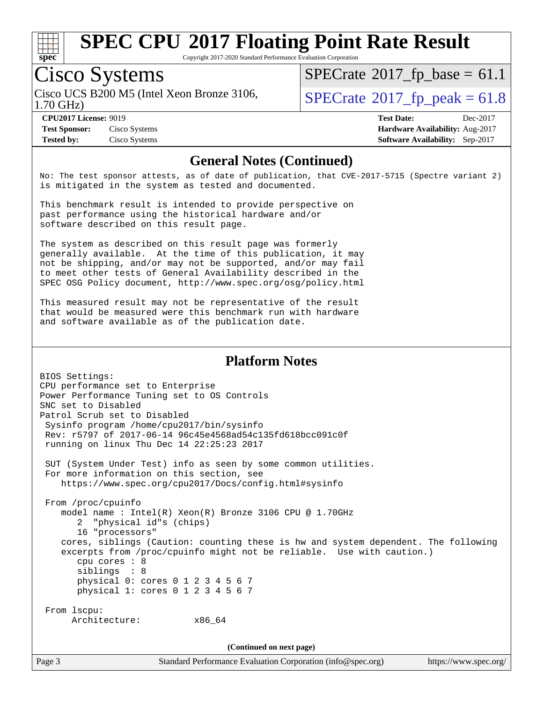

Copyright 2017-2020 Standard Performance Evaluation Corporation

# Cisco Systems

1.70 GHz) Cisco UCS B200 M5 (Intel Xeon Bronze 3106,  $\vert$  [SPECrate](http://www.spec.org/auto/cpu2017/Docs/result-fields.html#SPECrate2017fppeak)<sup>®</sup>[2017\\_fp\\_peak = 6](http://www.spec.org/auto/cpu2017/Docs/result-fields.html#SPECrate2017fppeak)1.8

 $SPECTate$ <sup>®</sup>[2017\\_fp\\_base =](http://www.spec.org/auto/cpu2017/Docs/result-fields.html#SPECrate2017fpbase) 61.1

**[Test Sponsor:](http://www.spec.org/auto/cpu2017/Docs/result-fields.html#TestSponsor)** Cisco Systems **[Hardware Availability:](http://www.spec.org/auto/cpu2017/Docs/result-fields.html#HardwareAvailability)** Aug-2017 **[Tested by:](http://www.spec.org/auto/cpu2017/Docs/result-fields.html#Testedby)** Cisco Systems **[Software Availability:](http://www.spec.org/auto/cpu2017/Docs/result-fields.html#SoftwareAvailability)** Sep-2017

**[CPU2017 License:](http://www.spec.org/auto/cpu2017/Docs/result-fields.html#CPU2017License)** 9019 **[Test Date:](http://www.spec.org/auto/cpu2017/Docs/result-fields.html#TestDate)** Dec-2017

#### **[General Notes \(Continued\)](http://www.spec.org/auto/cpu2017/Docs/result-fields.html#GeneralNotes)**

No: The test sponsor attests, as of date of publication, that CVE-2017-5715 (Spectre variant 2) is mitigated in the system as tested and documented.

This benchmark result is intended to provide perspective on past performance using the historical hardware and/or software described on this result page.

The system as described on this result page was formerly generally available. At the time of this publication, it may not be shipping, and/or may not be supported, and/or may fail to meet other tests of General Availability described in the SPEC OSG Policy document, <http://www.spec.org/osg/policy.html>

This measured result may not be representative of the result that would be measured were this benchmark run with hardware and software available as of the publication date.

#### **[Platform Notes](http://www.spec.org/auto/cpu2017/Docs/result-fields.html#PlatformNotes)**

BIOS Settings: CPU performance set to Enterprise Power Performance Tuning set to OS Controls SNC set to Disabled Patrol Scrub set to Disabled Sysinfo program /home/cpu2017/bin/sysinfo Rev: r5797 of 2017-06-14 96c45e4568ad54c135fd618bcc091c0f running on linux Thu Dec 14 22:25:23 2017 SUT (System Under Test) info as seen by some common utilities. For more information on this section, see <https://www.spec.org/cpu2017/Docs/config.html#sysinfo> From /proc/cpuinfo model name : Intel(R) Xeon(R) Bronze 3106 CPU @ 1.70GHz 2 "physical id"s (chips) 16 "processors" cores, siblings (Caution: counting these is hw and system dependent. The following excerpts from /proc/cpuinfo might not be reliable. Use with caution.) cpu cores : 8 siblings : 8 physical 0: cores 0 1 2 3 4 5 6 7 physical 1: cores 0 1 2 3 4 5 6 7 From lscpu: Architecture: x86\_64 **(Continued on next page)**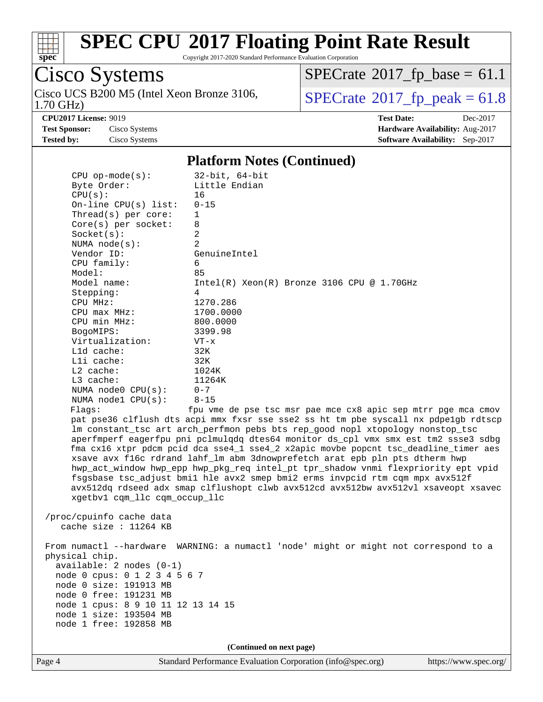

Copyright 2017-2020 Standard Performance Evaluation Corporation

## Cisco Systems

1.70 GHz) Cisco UCS B200 M5 (Intel Xeon Bronze 3106,  $\overline{SPECrate}$  $\overline{SPECrate}$  $\overline{SPECrate}$ <sup>®</sup>[2017\\_fp\\_peak = 6](http://www.spec.org/auto/cpu2017/Docs/result-fields.html#SPECrate2017fppeak)1.8

 $SPECrate$ <sup>®</sup>[2017\\_fp\\_base =](http://www.spec.org/auto/cpu2017/Docs/result-fields.html#SPECrate2017fpbase) 61.1

**[CPU2017 License:](http://www.spec.org/auto/cpu2017/Docs/result-fields.html#CPU2017License)** 9019 **[Test Date:](http://www.spec.org/auto/cpu2017/Docs/result-fields.html#TestDate)** Dec-2017 **[Test Sponsor:](http://www.spec.org/auto/cpu2017/Docs/result-fields.html#TestSponsor)** Cisco Systems **[Hardware Availability:](http://www.spec.org/auto/cpu2017/Docs/result-fields.html#HardwareAvailability)** Aug-2017 **[Tested by:](http://www.spec.org/auto/cpu2017/Docs/result-fields.html#Testedby)** Cisco Systems **[Software Availability:](http://www.spec.org/auto/cpu2017/Docs/result-fields.html#SoftwareAvailability)** Sep-2017

#### **[Platform Notes \(Continued\)](http://www.spec.org/auto/cpu2017/Docs/result-fields.html#PlatformNotes)**

| $CPU$ op-mode( $s$ ):                                                                                                                                                  | $32$ -bit, $64$ -bit                                                                                                                                                                                                                                                                                                                                                                                                                                                                                                                                                                                                                                                                          |
|------------------------------------------------------------------------------------------------------------------------------------------------------------------------|-----------------------------------------------------------------------------------------------------------------------------------------------------------------------------------------------------------------------------------------------------------------------------------------------------------------------------------------------------------------------------------------------------------------------------------------------------------------------------------------------------------------------------------------------------------------------------------------------------------------------------------------------------------------------------------------------|
| Byte Order:                                                                                                                                                            | Little Endian                                                                                                                                                                                                                                                                                                                                                                                                                                                                                                                                                                                                                                                                                 |
|                                                                                                                                                                        | 16                                                                                                                                                                                                                                                                                                                                                                                                                                                                                                                                                                                                                                                                                            |
|                                                                                                                                                                        | $0 - 15$                                                                                                                                                                                                                                                                                                                                                                                                                                                                                                                                                                                                                                                                                      |
|                                                                                                                                                                        | 1                                                                                                                                                                                                                                                                                                                                                                                                                                                                                                                                                                                                                                                                                             |
|                                                                                                                                                                        | 8                                                                                                                                                                                                                                                                                                                                                                                                                                                                                                                                                                                                                                                                                             |
|                                                                                                                                                                        | 2                                                                                                                                                                                                                                                                                                                                                                                                                                                                                                                                                                                                                                                                                             |
|                                                                                                                                                                        | 2                                                                                                                                                                                                                                                                                                                                                                                                                                                                                                                                                                                                                                                                                             |
|                                                                                                                                                                        | GenuineIntel                                                                                                                                                                                                                                                                                                                                                                                                                                                                                                                                                                                                                                                                                  |
|                                                                                                                                                                        | 6                                                                                                                                                                                                                                                                                                                                                                                                                                                                                                                                                                                                                                                                                             |
|                                                                                                                                                                        | 85                                                                                                                                                                                                                                                                                                                                                                                                                                                                                                                                                                                                                                                                                            |
|                                                                                                                                                                        | $Intel(R) Xeon(R) Bronze 3106 CPU @ 1.70GHz$                                                                                                                                                                                                                                                                                                                                                                                                                                                                                                                                                                                                                                                  |
|                                                                                                                                                                        | 4                                                                                                                                                                                                                                                                                                                                                                                                                                                                                                                                                                                                                                                                                             |
|                                                                                                                                                                        | 1270.286                                                                                                                                                                                                                                                                                                                                                                                                                                                                                                                                                                                                                                                                                      |
|                                                                                                                                                                        | 1700.0000                                                                                                                                                                                                                                                                                                                                                                                                                                                                                                                                                                                                                                                                                     |
|                                                                                                                                                                        | 800.0000                                                                                                                                                                                                                                                                                                                                                                                                                                                                                                                                                                                                                                                                                      |
|                                                                                                                                                                        | 3399.98                                                                                                                                                                                                                                                                                                                                                                                                                                                                                                                                                                                                                                                                                       |
|                                                                                                                                                                        | $VT - x$                                                                                                                                                                                                                                                                                                                                                                                                                                                                                                                                                                                                                                                                                      |
|                                                                                                                                                                        | 32K                                                                                                                                                                                                                                                                                                                                                                                                                                                                                                                                                                                                                                                                                           |
|                                                                                                                                                                        | 32K                                                                                                                                                                                                                                                                                                                                                                                                                                                                                                                                                                                                                                                                                           |
|                                                                                                                                                                        | 1024K                                                                                                                                                                                                                                                                                                                                                                                                                                                                                                                                                                                                                                                                                         |
|                                                                                                                                                                        | 11264K                                                                                                                                                                                                                                                                                                                                                                                                                                                                                                                                                                                                                                                                                        |
|                                                                                                                                                                        | $0 - 7$                                                                                                                                                                                                                                                                                                                                                                                                                                                                                                                                                                                                                                                                                       |
|                                                                                                                                                                        | $8 - 15$                                                                                                                                                                                                                                                                                                                                                                                                                                                                                                                                                                                                                                                                                      |
|                                                                                                                                                                        | fpu vme de pse tsc msr pae mce cx8 apic sep mtrr pge mca cmov                                                                                                                                                                                                                                                                                                                                                                                                                                                                                                                                                                                                                                 |
| xgetbv1 cqm_llc cqm_occup_llc                                                                                                                                          | pat pse36 clflush dts acpi mmx fxsr sse sse2 ss ht tm pbe syscall nx pdpe1gb rdtscp<br>lm constant_tsc art arch_perfmon pebs bts rep_good nopl xtopology nonstop_tsc<br>aperfmperf eagerfpu pni pclmulqdq dtes64 monitor ds_cpl vmx smx est tm2 ssse3 sdbg<br>fma cx16 xtpr pdcm pcid dca sse4_1 sse4_2 x2apic movbe popcnt tsc_deadline_timer aes<br>xsave avx f16c rdrand lahf_lm abm 3dnowprefetch arat epb pln pts dtherm hwp<br>hwp_act_window hwp_epp hwp_pkg_req intel_pt tpr_shadow vnmi flexpriority ept vpid<br>fsgsbase tsc_adjust bmil hle avx2 smep bmi2 erms invpcid rtm cqm mpx avx512f<br>avx512dq rdseed adx smap clflushopt clwb avx512cd avx512bw avx512vl xsaveopt xsavec |
| /proc/cpuinfo cache data<br>cache size : $11264$ KB                                                                                                                    |                                                                                                                                                                                                                                                                                                                                                                                                                                                                                                                                                                                                                                                                                               |
| physical chip.<br>$available: 2 nodes (0-1)$<br>node 0 cpus: 0 1 2 3 4 5 6 7<br>node 0 size: 191913 MB<br>node 0 free: 191231 MB<br>node 1 cpus: 8 9 10 11 12 13 14 15 | From numactl --hardware WARNING: a numactl 'node' might or might not correspond to a                                                                                                                                                                                                                                                                                                                                                                                                                                                                                                                                                                                                          |
|                                                                                                                                                                        | CPU(s):<br>On-line CPU(s) list:<br>Thread(s) per core:<br>$Core(s)$ per socket:<br>Socket(s):<br>NUMA node(s):<br>Vendor ID:<br>CPU family:<br>Model:<br>Model name:<br>Stepping:<br>CPU MHz:<br>$CPU$ max $MHz$ :<br>CPU min MHz:<br>BogoMIPS:<br>Virtualization:<br>L1d cache:<br>Lli cache:<br>$L2$ cache:<br>L3 cache:<br>NUMA $node0$ $CPU(s):$<br>NUMA nodel $CPU(s)$ :<br>Flags:<br>node 1 size: 193504 MB                                                                                                                                                                                                                                                                             |

**(Continued on next page)**

node 1 free: 192858 MB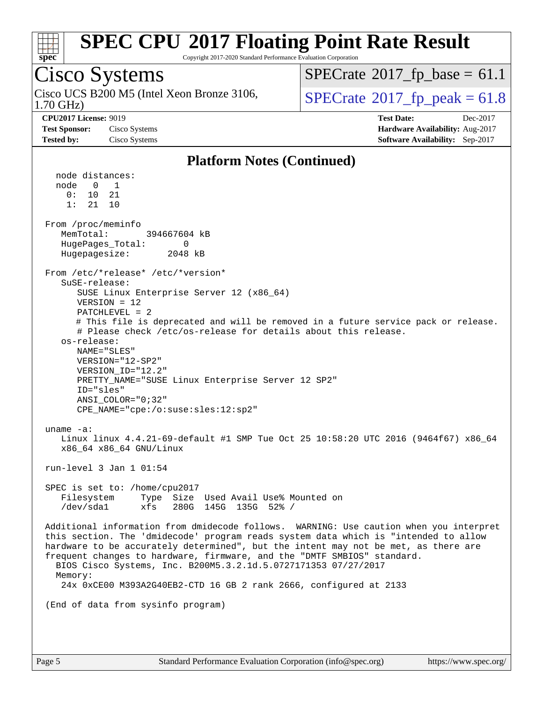

Copyright 2017-2020 Standard Performance Evaluation Corporation

## Cisco Systems

1.70 GHz) Cisco UCS B200 M5 (Intel Xeon Bronze 3106,  $\vert$  [SPECrate](http://www.spec.org/auto/cpu2017/Docs/result-fields.html#SPECrate2017fppeak)<sup>®</sup>[2017\\_fp\\_peak = 6](http://www.spec.org/auto/cpu2017/Docs/result-fields.html#SPECrate2017fppeak)1.8

 $SPECTate$ <sup>®</sup>[2017\\_fp\\_base =](http://www.spec.org/auto/cpu2017/Docs/result-fields.html#SPECrate2017fpbase) 61.1

**[CPU2017 License:](http://www.spec.org/auto/cpu2017/Docs/result-fields.html#CPU2017License)** 9019 **[Test Date:](http://www.spec.org/auto/cpu2017/Docs/result-fields.html#TestDate)** Dec-2017 **[Test Sponsor:](http://www.spec.org/auto/cpu2017/Docs/result-fields.html#TestSponsor)** Cisco Systems **[Hardware Availability:](http://www.spec.org/auto/cpu2017/Docs/result-fields.html#HardwareAvailability)** Aug-2017 **[Tested by:](http://www.spec.org/auto/cpu2017/Docs/result-fields.html#Testedby)** Cisco Systems **[Software Availability:](http://www.spec.org/auto/cpu2017/Docs/result-fields.html#SoftwareAvailability)** Sep-2017

#### **[Platform Notes \(Continued\)](http://www.spec.org/auto/cpu2017/Docs/result-fields.html#PlatformNotes)**

 node distances: node 0 1 0: 10 21 1: 21 10 From /proc/meminfo MemTotal: 394667604 kB HugePages\_Total: 0 Hugepagesize: 2048 kB From /etc/\*release\* /etc/\*version\* SuSE-release: SUSE Linux Enterprise Server 12 (x86\_64) VERSION = 12 PATCHLEVEL = 2 # This file is deprecated and will be removed in a future service pack or release. # Please check /etc/os-release for details about this release. os-release: NAME="SLES" VERSION="12-SP2" VERSION\_ID="12.2" PRETTY\_NAME="SUSE Linux Enterprise Server 12 SP2" ID="sles" ANSI\_COLOR="0;32" CPE\_NAME="cpe:/o:suse:sles:12:sp2" uname -a: Linux linux 4.4.21-69-default #1 SMP Tue Oct 25 10:58:20 UTC 2016 (9464f67) x86\_64 x86\_64 x86\_64 GNU/Linux run-level 3 Jan 1 01:54 SPEC is set to: /home/cpu2017 Filesystem Type Size Used Avail Use% Mounted on /dev/sda1 xfs 280G 145G 135G 52% / Additional information from dmidecode follows. WARNING: Use caution when you interpret this section. The 'dmidecode' program reads system data which is "intended to allow hardware to be accurately determined", but the intent may not be met, as there are frequent changes to hardware, firmware, and the "DMTF SMBIOS" standard. BIOS Cisco Systems, Inc. B200M5.3.2.1d.5.0727171353 07/27/2017 Memory: 24x 0xCE00 M393A2G40EB2-CTD 16 GB 2 rank 2666, configured at 2133 (End of data from sysinfo program)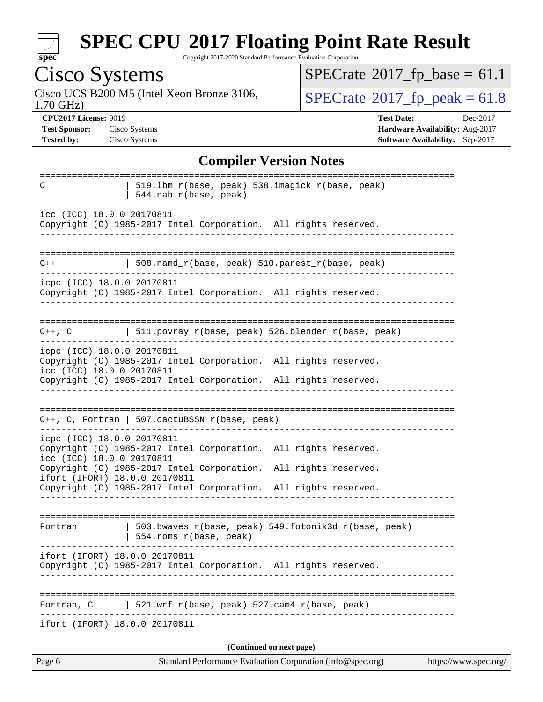| ч<br>č | L | E | Ċ |  |
|--------|---|---|---|--|

Copyright 2017-2020 Standard Performance Evaluation Corporation

|                                                                                            | Cisco UCS B200 M5 (Intel Xeon Bronze 3106,                                                                                         | $SPECrate^{\circ}2017$ _fp_peak = 61.8                                                                     |
|--------------------------------------------------------------------------------------------|------------------------------------------------------------------------------------------------------------------------------------|------------------------------------------------------------------------------------------------------------|
| $1.70$ GHz)                                                                                |                                                                                                                                    |                                                                                                            |
| <b>CPU2017 License: 9019</b><br><b>Test Sponsor:</b><br>Cisco Systems<br><b>Tested by:</b> | Cisco Systems                                                                                                                      | <b>Test Date:</b><br>Dec-2017<br>Hardware Availability: Aug-2017<br><b>Software Availability:</b> Sep-2017 |
|                                                                                            | <b>Compiler Version Notes</b>                                                                                                      |                                                                                                            |
| С                                                                                          | 519.1bm_r(base, peak) 538.imagick_r(base, peak)<br>544.nab_r(base, peak)                                                           |                                                                                                            |
| icc (ICC) 18.0.0 20170811                                                                  | Copyright (C) 1985-2017 Intel Corporation. All rights reserved.                                                                    |                                                                                                            |
| C++                                                                                        | 508.namd_r(base, peak) 510.parest_r(base, peak)                                                                                    |                                                                                                            |
| icpc (ICC) 18.0.0 20170811                                                                 | Copyright (C) 1985-2017 Intel Corporation. All rights reserved.                                                                    |                                                                                                            |
|                                                                                            | C++, C $ 511.povray_r(base, peak) 526.blender_r(base, peak)$                                                                       |                                                                                                            |
| icpc (ICC) 18.0.0 20170811<br>icc (ICC) 18.0.0 20170811                                    | Copyright (C) 1985-2017 Intel Corporation. All rights reserved.<br>Copyright (C) 1985-2017 Intel Corporation. All rights reserved. |                                                                                                            |
|                                                                                            | $C++$ , C, Fortran   507.cactuBSSN_r(base, peak)                                                                                   |                                                                                                            |
| icpc (ICC) 18.0.0 20170811                                                                 | Copyright (C) 1985-2017 Intel Corporation. All rights reserved.<br>icc (ICC) 18.0.0 20170811                                       |                                                                                                            |
| ifort (IFORT) 18.0.0 20170811                                                              | Copyright (C) 1985-2017 Intel Corporation. All rights reserved.                                                                    |                                                                                                            |
|                                                                                            | Copyright (C) 1985-2017 Intel Corporation. All rights reserved.                                                                    |                                                                                                            |
| Fortran                                                                                    | 503.bwaves_r(base, peak) 549.fotonik3d_r(base, peak)<br>554.roms_r(base, peak)                                                     |                                                                                                            |
| ifort (IFORT) 18.0.0 20170811                                                              | Copyright (C) 1985-2017 Intel Corporation. All rights reserved.                                                                    |                                                                                                            |
|                                                                                            |                                                                                                                                    |                                                                                                            |

**(Continued on next page)**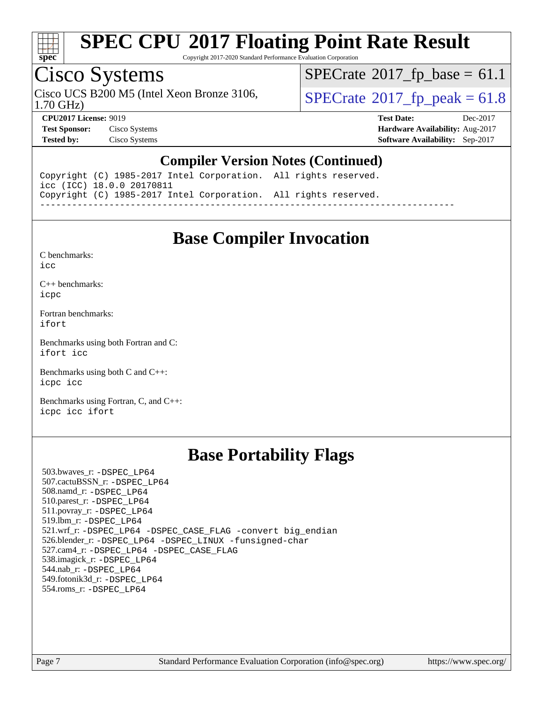

Copyright 2017-2020 Standard Performance Evaluation Corporation

## Cisco Systems

1.70 GHz) Cisco UCS B200 M5 (Intel Xeon Bronze 3106,  $\vert$  [SPECrate](http://www.spec.org/auto/cpu2017/Docs/result-fields.html#SPECrate2017fppeak)<sup>®</sup>[2017\\_fp\\_peak = 6](http://www.spec.org/auto/cpu2017/Docs/result-fields.html#SPECrate2017fppeak)1.8

 $SPECTate$ <sup>®</sup>[2017\\_fp\\_base =](http://www.spec.org/auto/cpu2017/Docs/result-fields.html#SPECrate2017fpbase) 61.1

**[CPU2017 License:](http://www.spec.org/auto/cpu2017/Docs/result-fields.html#CPU2017License)** 9019 **[Test Date:](http://www.spec.org/auto/cpu2017/Docs/result-fields.html#TestDate)** Dec-2017 **[Test Sponsor:](http://www.spec.org/auto/cpu2017/Docs/result-fields.html#TestSponsor)** Cisco Systems **[Hardware Availability:](http://www.spec.org/auto/cpu2017/Docs/result-fields.html#HardwareAvailability)** Aug-2017 **[Tested by:](http://www.spec.org/auto/cpu2017/Docs/result-fields.html#Testedby)** Cisco Systems **[Software Availability:](http://www.spec.org/auto/cpu2017/Docs/result-fields.html#SoftwareAvailability)** Sep-2017

#### **[Compiler Version Notes \(Continued\)](http://www.spec.org/auto/cpu2017/Docs/result-fields.html#CompilerVersionNotes)**

Copyright (C) 1985-2017 Intel Corporation. All rights reserved. icc (ICC) 18.0.0 20170811 Copyright (C) 1985-2017 Intel Corporation. All rights reserved. ------------------------------------------------------------------------------

### **[Base Compiler Invocation](http://www.spec.org/auto/cpu2017/Docs/result-fields.html#BaseCompilerInvocation)**

[C benchmarks](http://www.spec.org/auto/cpu2017/Docs/result-fields.html#Cbenchmarks):

[icc](http://www.spec.org/cpu2017/results/res2018q1/cpu2017-20171225-02056.flags.html#user_CCbase_intel_icc_18.0_66fc1ee009f7361af1fbd72ca7dcefbb700085f36577c54f309893dd4ec40d12360134090235512931783d35fd58c0460139e722d5067c5574d8eaf2b3e37e92)

[C++ benchmarks:](http://www.spec.org/auto/cpu2017/Docs/result-fields.html#CXXbenchmarks) [icpc](http://www.spec.org/cpu2017/results/res2018q1/cpu2017-20171225-02056.flags.html#user_CXXbase_intel_icpc_18.0_c510b6838c7f56d33e37e94d029a35b4a7bccf4766a728ee175e80a419847e808290a9b78be685c44ab727ea267ec2f070ec5dc83b407c0218cded6866a35d07)

[Fortran benchmarks](http://www.spec.org/auto/cpu2017/Docs/result-fields.html#Fortranbenchmarks): [ifort](http://www.spec.org/cpu2017/results/res2018q1/cpu2017-20171225-02056.flags.html#user_FCbase_intel_ifort_18.0_8111460550e3ca792625aed983ce982f94888b8b503583aa7ba2b8303487b4d8a21a13e7191a45c5fd58ff318f48f9492884d4413fa793fd88dd292cad7027ca)

[Benchmarks using both Fortran and C](http://www.spec.org/auto/cpu2017/Docs/result-fields.html#BenchmarksusingbothFortranandC): [ifort](http://www.spec.org/cpu2017/results/res2018q1/cpu2017-20171225-02056.flags.html#user_CC_FCbase_intel_ifort_18.0_8111460550e3ca792625aed983ce982f94888b8b503583aa7ba2b8303487b4d8a21a13e7191a45c5fd58ff318f48f9492884d4413fa793fd88dd292cad7027ca) [icc](http://www.spec.org/cpu2017/results/res2018q1/cpu2017-20171225-02056.flags.html#user_CC_FCbase_intel_icc_18.0_66fc1ee009f7361af1fbd72ca7dcefbb700085f36577c54f309893dd4ec40d12360134090235512931783d35fd58c0460139e722d5067c5574d8eaf2b3e37e92)

[Benchmarks using both C and C++](http://www.spec.org/auto/cpu2017/Docs/result-fields.html#BenchmarksusingbothCandCXX): [icpc](http://www.spec.org/cpu2017/results/res2018q1/cpu2017-20171225-02056.flags.html#user_CC_CXXbase_intel_icpc_18.0_c510b6838c7f56d33e37e94d029a35b4a7bccf4766a728ee175e80a419847e808290a9b78be685c44ab727ea267ec2f070ec5dc83b407c0218cded6866a35d07) [icc](http://www.spec.org/cpu2017/results/res2018q1/cpu2017-20171225-02056.flags.html#user_CC_CXXbase_intel_icc_18.0_66fc1ee009f7361af1fbd72ca7dcefbb700085f36577c54f309893dd4ec40d12360134090235512931783d35fd58c0460139e722d5067c5574d8eaf2b3e37e92)

[Benchmarks using Fortran, C, and C++:](http://www.spec.org/auto/cpu2017/Docs/result-fields.html#BenchmarksusingFortranCandCXX) [icpc](http://www.spec.org/cpu2017/results/res2018q1/cpu2017-20171225-02056.flags.html#user_CC_CXX_FCbase_intel_icpc_18.0_c510b6838c7f56d33e37e94d029a35b4a7bccf4766a728ee175e80a419847e808290a9b78be685c44ab727ea267ec2f070ec5dc83b407c0218cded6866a35d07) [icc](http://www.spec.org/cpu2017/results/res2018q1/cpu2017-20171225-02056.flags.html#user_CC_CXX_FCbase_intel_icc_18.0_66fc1ee009f7361af1fbd72ca7dcefbb700085f36577c54f309893dd4ec40d12360134090235512931783d35fd58c0460139e722d5067c5574d8eaf2b3e37e92) [ifort](http://www.spec.org/cpu2017/results/res2018q1/cpu2017-20171225-02056.flags.html#user_CC_CXX_FCbase_intel_ifort_18.0_8111460550e3ca792625aed983ce982f94888b8b503583aa7ba2b8303487b4d8a21a13e7191a45c5fd58ff318f48f9492884d4413fa793fd88dd292cad7027ca)

## **[Base Portability Flags](http://www.spec.org/auto/cpu2017/Docs/result-fields.html#BasePortabilityFlags)**

 503.bwaves\_r: [-DSPEC\\_LP64](http://www.spec.org/cpu2017/results/res2018q1/cpu2017-20171225-02056.flags.html#suite_basePORTABILITY503_bwaves_r_DSPEC_LP64) 507.cactuBSSN\_r: [-DSPEC\\_LP64](http://www.spec.org/cpu2017/results/res2018q1/cpu2017-20171225-02056.flags.html#suite_basePORTABILITY507_cactuBSSN_r_DSPEC_LP64) 508.namd\_r: [-DSPEC\\_LP64](http://www.spec.org/cpu2017/results/res2018q1/cpu2017-20171225-02056.flags.html#suite_basePORTABILITY508_namd_r_DSPEC_LP64) 510.parest\_r: [-DSPEC\\_LP64](http://www.spec.org/cpu2017/results/res2018q1/cpu2017-20171225-02056.flags.html#suite_basePORTABILITY510_parest_r_DSPEC_LP64) 511.povray\_r: [-DSPEC\\_LP64](http://www.spec.org/cpu2017/results/res2018q1/cpu2017-20171225-02056.flags.html#suite_basePORTABILITY511_povray_r_DSPEC_LP64) 519.lbm\_r: [-DSPEC\\_LP64](http://www.spec.org/cpu2017/results/res2018q1/cpu2017-20171225-02056.flags.html#suite_basePORTABILITY519_lbm_r_DSPEC_LP64) 521.wrf\_r: [-DSPEC\\_LP64](http://www.spec.org/cpu2017/results/res2018q1/cpu2017-20171225-02056.flags.html#suite_basePORTABILITY521_wrf_r_DSPEC_LP64) [-DSPEC\\_CASE\\_FLAG](http://www.spec.org/cpu2017/results/res2018q1/cpu2017-20171225-02056.flags.html#b521.wrf_r_baseCPORTABILITY_DSPEC_CASE_FLAG) [-convert big\\_endian](http://www.spec.org/cpu2017/results/res2018q1/cpu2017-20171225-02056.flags.html#user_baseFPORTABILITY521_wrf_r_convert_big_endian_c3194028bc08c63ac5d04de18c48ce6d347e4e562e8892b8bdbdc0214820426deb8554edfa529a3fb25a586e65a3d812c835984020483e7e73212c4d31a38223) 526.blender\_r: [-DSPEC\\_LP64](http://www.spec.org/cpu2017/results/res2018q1/cpu2017-20171225-02056.flags.html#suite_basePORTABILITY526_blender_r_DSPEC_LP64) [-DSPEC\\_LINUX](http://www.spec.org/cpu2017/results/res2018q1/cpu2017-20171225-02056.flags.html#b526.blender_r_baseCPORTABILITY_DSPEC_LINUX) [-funsigned-char](http://www.spec.org/cpu2017/results/res2018q1/cpu2017-20171225-02056.flags.html#user_baseCPORTABILITY526_blender_r_force_uchar_40c60f00ab013830e2dd6774aeded3ff59883ba5a1fc5fc14077f794d777847726e2a5858cbc7672e36e1b067e7e5c1d9a74f7176df07886a243d7cc18edfe67) 527.cam4\_r: [-DSPEC\\_LP64](http://www.spec.org/cpu2017/results/res2018q1/cpu2017-20171225-02056.flags.html#suite_basePORTABILITY527_cam4_r_DSPEC_LP64) [-DSPEC\\_CASE\\_FLAG](http://www.spec.org/cpu2017/results/res2018q1/cpu2017-20171225-02056.flags.html#b527.cam4_r_baseCPORTABILITY_DSPEC_CASE_FLAG) 538.imagick\_r: [-DSPEC\\_LP64](http://www.spec.org/cpu2017/results/res2018q1/cpu2017-20171225-02056.flags.html#suite_basePORTABILITY538_imagick_r_DSPEC_LP64) 544.nab\_r: [-DSPEC\\_LP64](http://www.spec.org/cpu2017/results/res2018q1/cpu2017-20171225-02056.flags.html#suite_basePORTABILITY544_nab_r_DSPEC_LP64) 549.fotonik3d\_r: [-DSPEC\\_LP64](http://www.spec.org/cpu2017/results/res2018q1/cpu2017-20171225-02056.flags.html#suite_basePORTABILITY549_fotonik3d_r_DSPEC_LP64) 554.roms\_r: [-DSPEC\\_LP64](http://www.spec.org/cpu2017/results/res2018q1/cpu2017-20171225-02056.flags.html#suite_basePORTABILITY554_roms_r_DSPEC_LP64)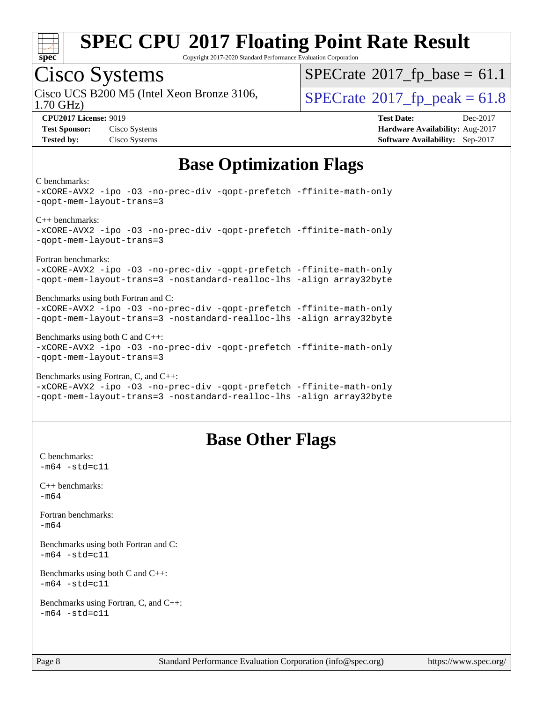

Copyright 2017-2020 Standard Performance Evaluation Corporation

## Cisco Systems

1.70 GHz) Cisco UCS B200 M5 (Intel Xeon Bronze 3106,  $\vert$ [SPECrate](http://www.spec.org/auto/cpu2017/Docs/result-fields.html#SPECrate2017fppeak)<sup>®</sup>[2017\\_fp\\_peak = 6](http://www.spec.org/auto/cpu2017/Docs/result-fields.html#SPECrate2017fppeak)1.8

 $SPECTate$ <sup>®</sup>[2017\\_fp\\_base =](http://www.spec.org/auto/cpu2017/Docs/result-fields.html#SPECrate2017fpbase) 61.1

**[CPU2017 License:](http://www.spec.org/auto/cpu2017/Docs/result-fields.html#CPU2017License)** 9019 **[Test Date:](http://www.spec.org/auto/cpu2017/Docs/result-fields.html#TestDate)** Dec-2017 **[Test Sponsor:](http://www.spec.org/auto/cpu2017/Docs/result-fields.html#TestSponsor)** Cisco Systems **[Hardware Availability:](http://www.spec.org/auto/cpu2017/Docs/result-fields.html#HardwareAvailability)** Aug-2017 **[Tested by:](http://www.spec.org/auto/cpu2017/Docs/result-fields.html#Testedby)** Cisco Systems **[Software Availability:](http://www.spec.org/auto/cpu2017/Docs/result-fields.html#SoftwareAvailability)** Sep-2017

## **[Base Optimization Flags](http://www.spec.org/auto/cpu2017/Docs/result-fields.html#BaseOptimizationFlags)**

#### [C benchmarks:](http://www.spec.org/auto/cpu2017/Docs/result-fields.html#Cbenchmarks)

[-xCORE-AVX2](http://www.spec.org/cpu2017/results/res2018q1/cpu2017-20171225-02056.flags.html#user_CCbase_f-xCORE-AVX2) [-ipo](http://www.spec.org/cpu2017/results/res2018q1/cpu2017-20171225-02056.flags.html#user_CCbase_f-ipo) [-O3](http://www.spec.org/cpu2017/results/res2018q1/cpu2017-20171225-02056.flags.html#user_CCbase_f-O3) [-no-prec-div](http://www.spec.org/cpu2017/results/res2018q1/cpu2017-20171225-02056.flags.html#user_CCbase_f-no-prec-div) [-qopt-prefetch](http://www.spec.org/cpu2017/results/res2018q1/cpu2017-20171225-02056.flags.html#user_CCbase_f-qopt-prefetch) [-ffinite-math-only](http://www.spec.org/cpu2017/results/res2018q1/cpu2017-20171225-02056.flags.html#user_CCbase_f_finite_math_only_cb91587bd2077682c4b38af759c288ed7c732db004271a9512da14a4f8007909a5f1427ecbf1a0fb78ff2a814402c6114ac565ca162485bbcae155b5e4258871) [-qopt-mem-layout-trans=3](http://www.spec.org/cpu2017/results/res2018q1/cpu2017-20171225-02056.flags.html#user_CCbase_f-qopt-mem-layout-trans_de80db37974c74b1f0e20d883f0b675c88c3b01e9d123adea9b28688d64333345fb62bc4a798493513fdb68f60282f9a726aa07f478b2f7113531aecce732043) [C++ benchmarks](http://www.spec.org/auto/cpu2017/Docs/result-fields.html#CXXbenchmarks): [-xCORE-AVX2](http://www.spec.org/cpu2017/results/res2018q1/cpu2017-20171225-02056.flags.html#user_CXXbase_f-xCORE-AVX2) [-ipo](http://www.spec.org/cpu2017/results/res2018q1/cpu2017-20171225-02056.flags.html#user_CXXbase_f-ipo) [-O3](http://www.spec.org/cpu2017/results/res2018q1/cpu2017-20171225-02056.flags.html#user_CXXbase_f-O3) [-no-prec-div](http://www.spec.org/cpu2017/results/res2018q1/cpu2017-20171225-02056.flags.html#user_CXXbase_f-no-prec-div) [-qopt-prefetch](http://www.spec.org/cpu2017/results/res2018q1/cpu2017-20171225-02056.flags.html#user_CXXbase_f-qopt-prefetch) [-ffinite-math-only](http://www.spec.org/cpu2017/results/res2018q1/cpu2017-20171225-02056.flags.html#user_CXXbase_f_finite_math_only_cb91587bd2077682c4b38af759c288ed7c732db004271a9512da14a4f8007909a5f1427ecbf1a0fb78ff2a814402c6114ac565ca162485bbcae155b5e4258871) [-qopt-mem-layout-trans=3](http://www.spec.org/cpu2017/results/res2018q1/cpu2017-20171225-02056.flags.html#user_CXXbase_f-qopt-mem-layout-trans_de80db37974c74b1f0e20d883f0b675c88c3b01e9d123adea9b28688d64333345fb62bc4a798493513fdb68f60282f9a726aa07f478b2f7113531aecce732043) [Fortran benchmarks:](http://www.spec.org/auto/cpu2017/Docs/result-fields.html#Fortranbenchmarks) [-xCORE-AVX2](http://www.spec.org/cpu2017/results/res2018q1/cpu2017-20171225-02056.flags.html#user_FCbase_f-xCORE-AVX2) [-ipo](http://www.spec.org/cpu2017/results/res2018q1/cpu2017-20171225-02056.flags.html#user_FCbase_f-ipo) [-O3](http://www.spec.org/cpu2017/results/res2018q1/cpu2017-20171225-02056.flags.html#user_FCbase_f-O3) [-no-prec-div](http://www.spec.org/cpu2017/results/res2018q1/cpu2017-20171225-02056.flags.html#user_FCbase_f-no-prec-div) [-qopt-prefetch](http://www.spec.org/cpu2017/results/res2018q1/cpu2017-20171225-02056.flags.html#user_FCbase_f-qopt-prefetch) [-ffinite-math-only](http://www.spec.org/cpu2017/results/res2018q1/cpu2017-20171225-02056.flags.html#user_FCbase_f_finite_math_only_cb91587bd2077682c4b38af759c288ed7c732db004271a9512da14a4f8007909a5f1427ecbf1a0fb78ff2a814402c6114ac565ca162485bbcae155b5e4258871) [-qopt-mem-layout-trans=3](http://www.spec.org/cpu2017/results/res2018q1/cpu2017-20171225-02056.flags.html#user_FCbase_f-qopt-mem-layout-trans_de80db37974c74b1f0e20d883f0b675c88c3b01e9d123adea9b28688d64333345fb62bc4a798493513fdb68f60282f9a726aa07f478b2f7113531aecce732043) [-nostandard-realloc-lhs](http://www.spec.org/cpu2017/results/res2018q1/cpu2017-20171225-02056.flags.html#user_FCbase_f_2003_std_realloc_82b4557e90729c0f113870c07e44d33d6f5a304b4f63d4c15d2d0f1fab99f5daaed73bdb9275d9ae411527f28b936061aa8b9c8f2d63842963b95c9dd6426b8a) [-align array32byte](http://www.spec.org/cpu2017/results/res2018q1/cpu2017-20171225-02056.flags.html#user_FCbase_align_array32byte_b982fe038af199962ba9a80c053b8342c548c85b40b8e86eb3cc33dee0d7986a4af373ac2d51c3f7cf710a18d62fdce2948f201cd044323541f22fc0fffc51b6) [Benchmarks using both Fortran and C:](http://www.spec.org/auto/cpu2017/Docs/result-fields.html#BenchmarksusingbothFortranandC) [-xCORE-AVX2](http://www.spec.org/cpu2017/results/res2018q1/cpu2017-20171225-02056.flags.html#user_CC_FCbase_f-xCORE-AVX2) [-ipo](http://www.spec.org/cpu2017/results/res2018q1/cpu2017-20171225-02056.flags.html#user_CC_FCbase_f-ipo) [-O3](http://www.spec.org/cpu2017/results/res2018q1/cpu2017-20171225-02056.flags.html#user_CC_FCbase_f-O3) [-no-prec-div](http://www.spec.org/cpu2017/results/res2018q1/cpu2017-20171225-02056.flags.html#user_CC_FCbase_f-no-prec-div) [-qopt-prefetch](http://www.spec.org/cpu2017/results/res2018q1/cpu2017-20171225-02056.flags.html#user_CC_FCbase_f-qopt-prefetch) [-ffinite-math-only](http://www.spec.org/cpu2017/results/res2018q1/cpu2017-20171225-02056.flags.html#user_CC_FCbase_f_finite_math_only_cb91587bd2077682c4b38af759c288ed7c732db004271a9512da14a4f8007909a5f1427ecbf1a0fb78ff2a814402c6114ac565ca162485bbcae155b5e4258871) [-qopt-mem-layout-trans=3](http://www.spec.org/cpu2017/results/res2018q1/cpu2017-20171225-02056.flags.html#user_CC_FCbase_f-qopt-mem-layout-trans_de80db37974c74b1f0e20d883f0b675c88c3b01e9d123adea9b28688d64333345fb62bc4a798493513fdb68f60282f9a726aa07f478b2f7113531aecce732043) [-nostandard-realloc-lhs](http://www.spec.org/cpu2017/results/res2018q1/cpu2017-20171225-02056.flags.html#user_CC_FCbase_f_2003_std_realloc_82b4557e90729c0f113870c07e44d33d6f5a304b4f63d4c15d2d0f1fab99f5daaed73bdb9275d9ae411527f28b936061aa8b9c8f2d63842963b95c9dd6426b8a) [-align array32byte](http://www.spec.org/cpu2017/results/res2018q1/cpu2017-20171225-02056.flags.html#user_CC_FCbase_align_array32byte_b982fe038af199962ba9a80c053b8342c548c85b40b8e86eb3cc33dee0d7986a4af373ac2d51c3f7cf710a18d62fdce2948f201cd044323541f22fc0fffc51b6) [Benchmarks using both C and C++](http://www.spec.org/auto/cpu2017/Docs/result-fields.html#BenchmarksusingbothCandCXX): [-xCORE-AVX2](http://www.spec.org/cpu2017/results/res2018q1/cpu2017-20171225-02056.flags.html#user_CC_CXXbase_f-xCORE-AVX2) [-ipo](http://www.spec.org/cpu2017/results/res2018q1/cpu2017-20171225-02056.flags.html#user_CC_CXXbase_f-ipo) [-O3](http://www.spec.org/cpu2017/results/res2018q1/cpu2017-20171225-02056.flags.html#user_CC_CXXbase_f-O3) [-no-prec-div](http://www.spec.org/cpu2017/results/res2018q1/cpu2017-20171225-02056.flags.html#user_CC_CXXbase_f-no-prec-div) [-qopt-prefetch](http://www.spec.org/cpu2017/results/res2018q1/cpu2017-20171225-02056.flags.html#user_CC_CXXbase_f-qopt-prefetch) [-ffinite-math-only](http://www.spec.org/cpu2017/results/res2018q1/cpu2017-20171225-02056.flags.html#user_CC_CXXbase_f_finite_math_only_cb91587bd2077682c4b38af759c288ed7c732db004271a9512da14a4f8007909a5f1427ecbf1a0fb78ff2a814402c6114ac565ca162485bbcae155b5e4258871) [-qopt-mem-layout-trans=3](http://www.spec.org/cpu2017/results/res2018q1/cpu2017-20171225-02056.flags.html#user_CC_CXXbase_f-qopt-mem-layout-trans_de80db37974c74b1f0e20d883f0b675c88c3b01e9d123adea9b28688d64333345fb62bc4a798493513fdb68f60282f9a726aa07f478b2f7113531aecce732043) [Benchmarks using Fortran, C, and C++](http://www.spec.org/auto/cpu2017/Docs/result-fields.html#BenchmarksusingFortranCandCXX): [-xCORE-AVX2](http://www.spec.org/cpu2017/results/res2018q1/cpu2017-20171225-02056.flags.html#user_CC_CXX_FCbase_f-xCORE-AVX2) [-ipo](http://www.spec.org/cpu2017/results/res2018q1/cpu2017-20171225-02056.flags.html#user_CC_CXX_FCbase_f-ipo) [-O3](http://www.spec.org/cpu2017/results/res2018q1/cpu2017-20171225-02056.flags.html#user_CC_CXX_FCbase_f-O3) [-no-prec-div](http://www.spec.org/cpu2017/results/res2018q1/cpu2017-20171225-02056.flags.html#user_CC_CXX_FCbase_f-no-prec-div) [-qopt-prefetch](http://www.spec.org/cpu2017/results/res2018q1/cpu2017-20171225-02056.flags.html#user_CC_CXX_FCbase_f-qopt-prefetch) [-ffinite-math-only](http://www.spec.org/cpu2017/results/res2018q1/cpu2017-20171225-02056.flags.html#user_CC_CXX_FCbase_f_finite_math_only_cb91587bd2077682c4b38af759c288ed7c732db004271a9512da14a4f8007909a5f1427ecbf1a0fb78ff2a814402c6114ac565ca162485bbcae155b5e4258871)

[-qopt-mem-layout-trans=3](http://www.spec.org/cpu2017/results/res2018q1/cpu2017-20171225-02056.flags.html#user_CC_CXX_FCbase_f-qopt-mem-layout-trans_de80db37974c74b1f0e20d883f0b675c88c3b01e9d123adea9b28688d64333345fb62bc4a798493513fdb68f60282f9a726aa07f478b2f7113531aecce732043) [-nostandard-realloc-lhs](http://www.spec.org/cpu2017/results/res2018q1/cpu2017-20171225-02056.flags.html#user_CC_CXX_FCbase_f_2003_std_realloc_82b4557e90729c0f113870c07e44d33d6f5a304b4f63d4c15d2d0f1fab99f5daaed73bdb9275d9ae411527f28b936061aa8b9c8f2d63842963b95c9dd6426b8a) [-align array32byte](http://www.spec.org/cpu2017/results/res2018q1/cpu2017-20171225-02056.flags.html#user_CC_CXX_FCbase_align_array32byte_b982fe038af199962ba9a80c053b8342c548c85b40b8e86eb3cc33dee0d7986a4af373ac2d51c3f7cf710a18d62fdce2948f201cd044323541f22fc0fffc51b6)

### **[Base Other Flags](http://www.spec.org/auto/cpu2017/Docs/result-fields.html#BaseOtherFlags)**

[C benchmarks](http://www.spec.org/auto/cpu2017/Docs/result-fields.html#Cbenchmarks):  $-m64 - std = c11$  $-m64 - std = c11$ [C++ benchmarks:](http://www.spec.org/auto/cpu2017/Docs/result-fields.html#CXXbenchmarks) [-m64](http://www.spec.org/cpu2017/results/res2018q1/cpu2017-20171225-02056.flags.html#user_CXXbase_intel_intel64_18.0_af43caccfc8ded86e7699f2159af6efc7655f51387b94da716254467f3c01020a5059329e2569e4053f409e7c9202a7efc638f7a6d1ffb3f52dea4a3e31d82ab) [Fortran benchmarks](http://www.spec.org/auto/cpu2017/Docs/result-fields.html#Fortranbenchmarks): [-m64](http://www.spec.org/cpu2017/results/res2018q1/cpu2017-20171225-02056.flags.html#user_FCbase_intel_intel64_18.0_af43caccfc8ded86e7699f2159af6efc7655f51387b94da716254467f3c01020a5059329e2569e4053f409e7c9202a7efc638f7a6d1ffb3f52dea4a3e31d82ab) [Benchmarks using both Fortran and C](http://www.spec.org/auto/cpu2017/Docs/result-fields.html#BenchmarksusingbothFortranandC):  $-m64$   $-std=cl1$ [Benchmarks using both C and C++](http://www.spec.org/auto/cpu2017/Docs/result-fields.html#BenchmarksusingbothCandCXX):  $-m64 - std= c11$  $-m64 - std= c11$ [Benchmarks using Fortran, C, and C++:](http://www.spec.org/auto/cpu2017/Docs/result-fields.html#BenchmarksusingFortranCandCXX)  $-m64 - std = c11$  $-m64 - std = c11$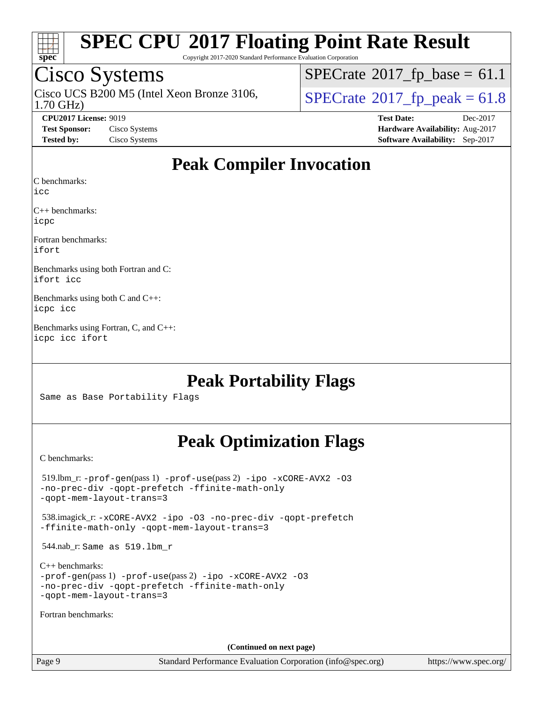

Copyright 2017-2020 Standard Performance Evaluation Corporation

## Cisco Systems

1.70 GHz) Cisco UCS B200 M5 (Intel Xeon Bronze 3106,  $\overline{\text{SPECrate}}$  $\overline{\text{SPECrate}}$  $\overline{\text{SPECrate}}$ <sup>®</sup>[2017\\_fp\\_peak = 6](http://www.spec.org/auto/cpu2017/Docs/result-fields.html#SPECrate2017fppeak)1.8

 $SPECrate$ <sup>®</sup>[2017\\_fp\\_base =](http://www.spec.org/auto/cpu2017/Docs/result-fields.html#SPECrate2017fpbase) 61.1

**[CPU2017 License:](http://www.spec.org/auto/cpu2017/Docs/result-fields.html#CPU2017License)** 9019 **[Test Date:](http://www.spec.org/auto/cpu2017/Docs/result-fields.html#TestDate)** Dec-2017 **[Test Sponsor:](http://www.spec.org/auto/cpu2017/Docs/result-fields.html#TestSponsor)** Cisco Systems **[Hardware Availability:](http://www.spec.org/auto/cpu2017/Docs/result-fields.html#HardwareAvailability)** Aug-2017 **[Tested by:](http://www.spec.org/auto/cpu2017/Docs/result-fields.html#Testedby)** Cisco Systems **[Software Availability:](http://www.spec.org/auto/cpu2017/Docs/result-fields.html#SoftwareAvailability)** Sep-2017

## **[Peak Compiler Invocation](http://www.spec.org/auto/cpu2017/Docs/result-fields.html#PeakCompilerInvocation)**

[C benchmarks](http://www.spec.org/auto/cpu2017/Docs/result-fields.html#Cbenchmarks):

[icc](http://www.spec.org/cpu2017/results/res2018q1/cpu2017-20171225-02056.flags.html#user_CCpeak_intel_icc_18.0_66fc1ee009f7361af1fbd72ca7dcefbb700085f36577c54f309893dd4ec40d12360134090235512931783d35fd58c0460139e722d5067c5574d8eaf2b3e37e92)

[C++ benchmarks:](http://www.spec.org/auto/cpu2017/Docs/result-fields.html#CXXbenchmarks) [icpc](http://www.spec.org/cpu2017/results/res2018q1/cpu2017-20171225-02056.flags.html#user_CXXpeak_intel_icpc_18.0_c510b6838c7f56d33e37e94d029a35b4a7bccf4766a728ee175e80a419847e808290a9b78be685c44ab727ea267ec2f070ec5dc83b407c0218cded6866a35d07)

[Fortran benchmarks](http://www.spec.org/auto/cpu2017/Docs/result-fields.html#Fortranbenchmarks): [ifort](http://www.spec.org/cpu2017/results/res2018q1/cpu2017-20171225-02056.flags.html#user_FCpeak_intel_ifort_18.0_8111460550e3ca792625aed983ce982f94888b8b503583aa7ba2b8303487b4d8a21a13e7191a45c5fd58ff318f48f9492884d4413fa793fd88dd292cad7027ca)

[Benchmarks using both Fortran and C](http://www.spec.org/auto/cpu2017/Docs/result-fields.html#BenchmarksusingbothFortranandC): [ifort](http://www.spec.org/cpu2017/results/res2018q1/cpu2017-20171225-02056.flags.html#user_CC_FCpeak_intel_ifort_18.0_8111460550e3ca792625aed983ce982f94888b8b503583aa7ba2b8303487b4d8a21a13e7191a45c5fd58ff318f48f9492884d4413fa793fd88dd292cad7027ca) [icc](http://www.spec.org/cpu2017/results/res2018q1/cpu2017-20171225-02056.flags.html#user_CC_FCpeak_intel_icc_18.0_66fc1ee009f7361af1fbd72ca7dcefbb700085f36577c54f309893dd4ec40d12360134090235512931783d35fd58c0460139e722d5067c5574d8eaf2b3e37e92)

[Benchmarks using both C and C++:](http://www.spec.org/auto/cpu2017/Docs/result-fields.html#BenchmarksusingbothCandCXX) [icpc](http://www.spec.org/cpu2017/results/res2018q1/cpu2017-20171225-02056.flags.html#user_CC_CXXpeak_intel_icpc_18.0_c510b6838c7f56d33e37e94d029a35b4a7bccf4766a728ee175e80a419847e808290a9b78be685c44ab727ea267ec2f070ec5dc83b407c0218cded6866a35d07) [icc](http://www.spec.org/cpu2017/results/res2018q1/cpu2017-20171225-02056.flags.html#user_CC_CXXpeak_intel_icc_18.0_66fc1ee009f7361af1fbd72ca7dcefbb700085f36577c54f309893dd4ec40d12360134090235512931783d35fd58c0460139e722d5067c5574d8eaf2b3e37e92)

[Benchmarks using Fortran, C, and C++](http://www.spec.org/auto/cpu2017/Docs/result-fields.html#BenchmarksusingFortranCandCXX): [icpc](http://www.spec.org/cpu2017/results/res2018q1/cpu2017-20171225-02056.flags.html#user_CC_CXX_FCpeak_intel_icpc_18.0_c510b6838c7f56d33e37e94d029a35b4a7bccf4766a728ee175e80a419847e808290a9b78be685c44ab727ea267ec2f070ec5dc83b407c0218cded6866a35d07) [icc](http://www.spec.org/cpu2017/results/res2018q1/cpu2017-20171225-02056.flags.html#user_CC_CXX_FCpeak_intel_icc_18.0_66fc1ee009f7361af1fbd72ca7dcefbb700085f36577c54f309893dd4ec40d12360134090235512931783d35fd58c0460139e722d5067c5574d8eaf2b3e37e92) [ifort](http://www.spec.org/cpu2017/results/res2018q1/cpu2017-20171225-02056.flags.html#user_CC_CXX_FCpeak_intel_ifort_18.0_8111460550e3ca792625aed983ce982f94888b8b503583aa7ba2b8303487b4d8a21a13e7191a45c5fd58ff318f48f9492884d4413fa793fd88dd292cad7027ca)

## **[Peak Portability Flags](http://www.spec.org/auto/cpu2017/Docs/result-fields.html#PeakPortabilityFlags)**

Same as Base Portability Flags

## **[Peak Optimization Flags](http://www.spec.org/auto/cpu2017/Docs/result-fields.html#PeakOptimizationFlags)**

[C benchmarks](http://www.spec.org/auto/cpu2017/Docs/result-fields.html#Cbenchmarks):

| $519.$ lbm_r: -prof-qen(pass 1) -prof-use(pass 2) -ipo -xCORE-AVX2 -03<br>-no-prec-div -qopt-prefetch -ffinite-math-only<br>-gopt-mem-layout-trans=3             |
|------------------------------------------------------------------------------------------------------------------------------------------------------------------|
| 538.imagick_r: -xCORE-AVX2 -ipo -03 -no-prec-div -qopt-prefetch<br>-ffinite-math-only -gopt-mem-layout-trans=3                                                   |
| $544$ .nab_r: Same as $519$ .lbm r                                                                                                                               |
| $C_{++}$ benchmarks:<br>$-prof-qen(pass 1) -prof-use(pass 2) -ipo -xCORE-AVX2 -O3$<br>-no-prec-div -qopt-prefetch -ffinite-math-only<br>-gopt-mem-layout-trans=3 |
| Fortran benchmarks:                                                                                                                                              |
|                                                                                                                                                                  |
| (Continued on next page)                                                                                                                                         |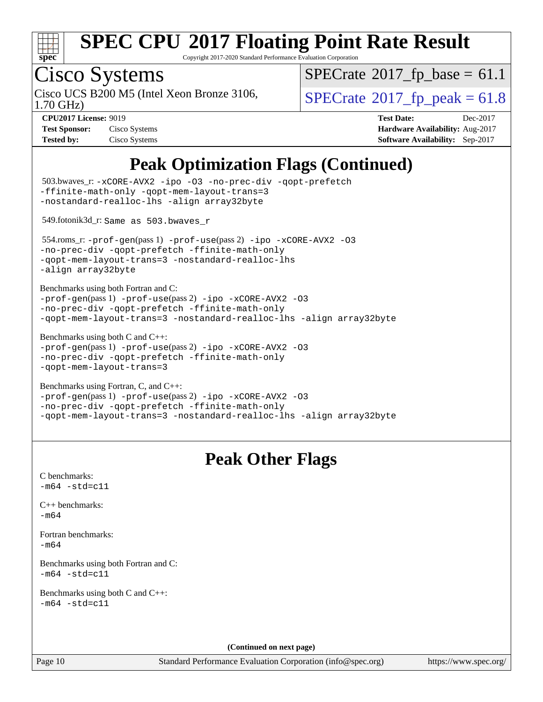

Copyright 2017-2020 Standard Performance Evaluation Corporation

# Cisco Systems<br>Cisco UCS B200 M5 (Intel Xeon Bronze 3106,

1.70 GHz)

 $SPECrate$ <sup>®</sup>[2017\\_fp\\_base =](http://www.spec.org/auto/cpu2017/Docs/result-fields.html#SPECrate2017fpbase) 61.1

 $SPECrate<sup>®</sup>2017_fp_peak = 61.8$  $SPECrate<sup>®</sup>2017_fp_peak = 61.8$  $SPECrate<sup>®</sup>2017_fp_peak = 61.8$  $SPECrate<sup>®</sup>2017_fp_peak = 61.8$ 

| <b>Test Sponsor:</b> | Cisco Systems |
|----------------------|---------------|
| <b>Tested by:</b>    | Cisco Systems |

**[CPU2017 License:](http://www.spec.org/auto/cpu2017/Docs/result-fields.html#CPU2017License)** 9019 **[Test Date:](http://www.spec.org/auto/cpu2017/Docs/result-fields.html#TestDate)** Dec-2017 **[Hardware Availability:](http://www.spec.org/auto/cpu2017/Docs/result-fields.html#HardwareAvailability)** Aug-2017 **[Software Availability:](http://www.spec.org/auto/cpu2017/Docs/result-fields.html#SoftwareAvailability)** Sep-2017

## **[Peak Optimization Flags \(Continued\)](http://www.spec.org/auto/cpu2017/Docs/result-fields.html#PeakOptimizationFlags)**

| -ffinite-math-only -qopt-mem-layout-trans=3                  | 503.bwaves_r: -xCORE-AVX2 -ipo -03 -no-prec-div -qopt-prefetch                                                                                                                    |
|--------------------------------------------------------------|-----------------------------------------------------------------------------------------------------------------------------------------------------------------------------------|
| -nostandard-realloc-lhs -align array32byte                   |                                                                                                                                                                                   |
| 549.fotonik3d_r: Same as 503.bwaves_r                        |                                                                                                                                                                                   |
| -align array32byte                                           | 554.roms_r:-prof-gen(pass 1) -prof-use(pass 2) -ipo -xCORE-AVX2 -03<br>-no-prec-div -qopt-prefetch -ffinite-math-only<br>-qopt-mem-layout-trans=3 -nostandard-realloc-lhs         |
| Benchmarks using both Fortran and C:                         | -prof-gen(pass 1) -prof-use(pass 2) -ipo -xCORE-AVX2 -03<br>-no-prec-div -qopt-prefetch -ffinite-math-only<br>-qopt-mem-layout-trans=3 -nostandard-realloc-lhs -align array32byte |
| Benchmarks using both C and C++:<br>-qopt-mem-layout-trans=3 | -prof-gen(pass 1) -prof-use(pass 2) -ipo -xCORE-AVX2 -03<br>-no-prec-div -qopt-prefetch -ffinite-math-only                                                                        |
| Benchmarks using Fortran, C, and C++:                        | -prof-gen(pass 1) -prof-use(pass 2) -ipo -xCORE-AVX2 -03<br>-no-prec-div -qopt-prefetch -ffinite-math-only<br>-qopt-mem-layout-trans=3 -nostandard-realloc-lhs -align array32byte |
|                                                              | <b>Peak Other Flags</b>                                                                                                                                                           |
| C benchmarks:<br>$-m64 - std= c11$                           |                                                                                                                                                                                   |
|                                                              |                                                                                                                                                                                   |
| $C++$ benchmarks:<br>$-m64$                                  |                                                                                                                                                                                   |
| Fortran benchmarks:<br>$-m64$                                |                                                                                                                                                                                   |
| Benchmarks using both Fortran and C:<br>m64 -std=c11         |                                                                                                                                                                                   |
| Benchmarks using both C and C++:<br>$-m64 - std= c11$        |                                                                                                                                                                                   |
|                                                              |                                                                                                                                                                                   |
| Page 10                                                      | (Continued on next page)<br>Standard Performance Evaluation Corporation (info@spec.org)                                                                                           |

<https://www.spec.org/>